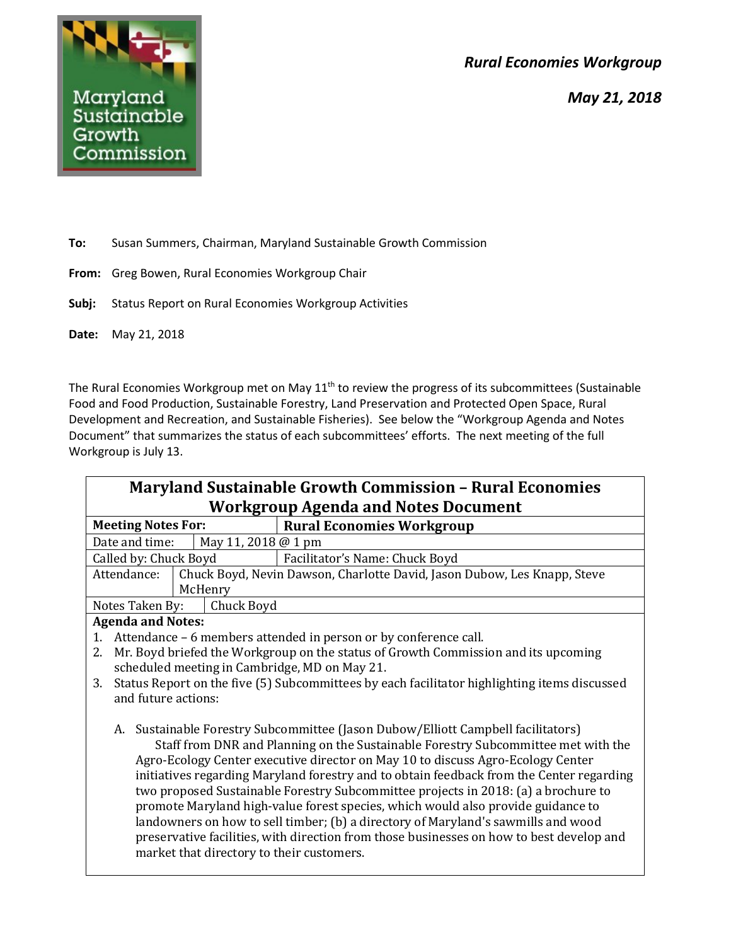*Rural Economies Workgroup*





**To:** Susan Summers, Chairman, Maryland Sustainable Growth Commission

- **From:** Greg Bowen, Rural Economies Workgroup Chair
- **Subj:** Status Report on Rural Economies Workgroup Activities
- **Date:** May 21, 2018

The Rural Economies Workgroup met on May 11<sup>th</sup> to review the progress of its subcommittees (Sustainable Food and Food Production, Sustainable Forestry, Land Preservation and Protected Open Space, Rural Development and Recreation, and Sustainable Fisheries). See below the "Workgroup Agenda and Notes Document" that summarizes the status of each subcommittees' efforts. The next meeting of the full Workgroup is July 13.

| <b>Maryland Sustainable Growth Commission - Rural Economies</b>                                                                                                                                                                                                                                                                                                                                                                                                                                                                                                                                                                                                                                                                                                 |                                                                          |
|-----------------------------------------------------------------------------------------------------------------------------------------------------------------------------------------------------------------------------------------------------------------------------------------------------------------------------------------------------------------------------------------------------------------------------------------------------------------------------------------------------------------------------------------------------------------------------------------------------------------------------------------------------------------------------------------------------------------------------------------------------------------|--------------------------------------------------------------------------|
| <b>Workgroup Agenda and Notes Document</b>                                                                                                                                                                                                                                                                                                                                                                                                                                                                                                                                                                                                                                                                                                                      |                                                                          |
| <b>Meeting Notes For:</b>                                                                                                                                                                                                                                                                                                                                                                                                                                                                                                                                                                                                                                                                                                                                       | <b>Rural Economies Workgroup</b>                                         |
| May 11, 2018 @ 1 pm<br>Date and time:                                                                                                                                                                                                                                                                                                                                                                                                                                                                                                                                                                                                                                                                                                                           |                                                                          |
| Called by: Chuck Boyd                                                                                                                                                                                                                                                                                                                                                                                                                                                                                                                                                                                                                                                                                                                                           | Facilitator's Name: Chuck Boyd                                           |
| Attendance:                                                                                                                                                                                                                                                                                                                                                                                                                                                                                                                                                                                                                                                                                                                                                     | Chuck Boyd, Nevin Dawson, Charlotte David, Jason Dubow, Les Knapp, Steve |
| McHenry                                                                                                                                                                                                                                                                                                                                                                                                                                                                                                                                                                                                                                                                                                                                                         |                                                                          |
| Notes Taken By:<br>Chuck Boyd                                                                                                                                                                                                                                                                                                                                                                                                                                                                                                                                                                                                                                                                                                                                   |                                                                          |
| <b>Agenda and Notes:</b>                                                                                                                                                                                                                                                                                                                                                                                                                                                                                                                                                                                                                                                                                                                                        |                                                                          |
| Attendance – 6 members attended in person or by conference call.<br>1.                                                                                                                                                                                                                                                                                                                                                                                                                                                                                                                                                                                                                                                                                          |                                                                          |
| Mr. Boyd briefed the Workgroup on the status of Growth Commission and its upcoming<br>2.                                                                                                                                                                                                                                                                                                                                                                                                                                                                                                                                                                                                                                                                        |                                                                          |
| scheduled meeting in Cambridge, MD on May 21.                                                                                                                                                                                                                                                                                                                                                                                                                                                                                                                                                                                                                                                                                                                   |                                                                          |
| Status Report on the five (5) Subcommittees by each facilitator highlighting items discussed<br>3.                                                                                                                                                                                                                                                                                                                                                                                                                                                                                                                                                                                                                                                              |                                                                          |
| and future actions:                                                                                                                                                                                                                                                                                                                                                                                                                                                                                                                                                                                                                                                                                                                                             |                                                                          |
| Sustainable Forestry Subcommittee (Jason Dubow/Elliott Campbell facilitators)<br>А.<br>Staff from DNR and Planning on the Sustainable Forestry Subcommittee met with the<br>Agro-Ecology Center executive director on May 10 to discuss Agro-Ecology Center<br>initiatives regarding Maryland forestry and to obtain feedback from the Center regarding<br>two proposed Sustainable Forestry Subcommittee projects in 2018: (a) a brochure to<br>promote Maryland high-value forest species, which would also provide guidance to<br>landowners on how to sell timber; (b) a directory of Maryland's sawmills and wood<br>preservative facilities, with direction from those businesses on how to best develop and<br>market that directory to their customers. |                                                                          |